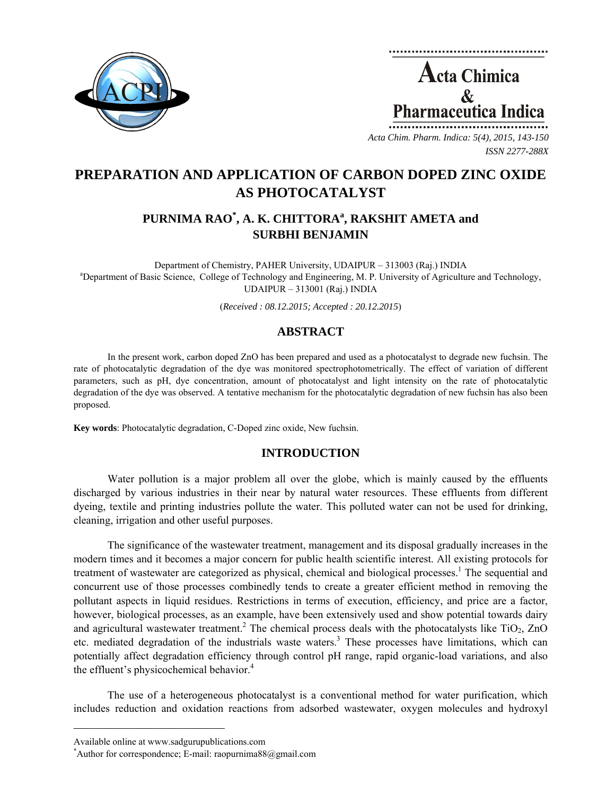



*Acta Chim. Pharm. Indica: 5(4), 2015, 143-150 ISSN 2277-288X*

# **PREPARATION AND APPLICATION OF CARBON DOPED ZINC OXIDE AS PHOTOCATALYST**

## **PURNIMA RAO\* , A. K. CHITTORA<sup>a</sup> , RAKSHIT AMETA and SURBHI BENJAMIN**

Department of Chemistry, PAHER University, UDAIPUR – 313003 (Raj.) INDIA a <sup>a</sup>Department of Basic Science, College of Technology and Engineering, M. P. University of Agriculture and Technology, UDAIPUR – 313001 (Raj.) INDIA

(*Received : 08.12.2015; Accepted : 20.12.2015*)

## **ABSTRACT**

In the present work, carbon doped ZnO has been prepared and used as a photocatalyst to degrade new fuchsin. The rate of photocatalytic degradation of the dye was monitored spectrophotometrically. The effect of variation of different parameters, such as pH, dye concentration, amount of photocatalyst and light intensity on the rate of photocatalytic degradation of the dye was observed. A tentative mechanism for the photocatalytic degradation of new fuchsin has also been proposed.

**Key words**: Photocatalytic degradation, C-Doped zinc oxide, New fuchsin.

## **INTRODUCTION**

Water pollution is a major problem all over the globe, which is mainly caused by the effluents discharged by various industries in their near by natural water resources. These effluents from different dyeing, textile and printing industries pollute the water. This polluted water can not be used for drinking, cleaning, irrigation and other useful purposes.

The significance of the wastewater treatment, management and its disposal gradually increases in the modern times and it becomes a major concern for public health scientific interest. All existing protocols for treatment of wastewater are categorized as physical, chemical and biological processes.<sup>1</sup> The sequential and concurrent use of those processes combinedly tends to create a greater efficient method in removing the pollutant aspects in liquid residues. Restrictions in terms of execution, efficiency, and price are a factor, however, biological processes, as an example, have been extensively used and show potential towards dairy and agricultural wastewater treatment.<sup>2</sup> The chemical process deals with the photocatalysts like TiO<sub>2</sub>, ZnO etc. mediated degradation of the industrials waste waters.<sup>3</sup> These processes have limitations, which can potentially affect degradation efficiency through control pH range, rapid organic-load variations, and also the effluent's physicochemical behavior. $4$ 

The use of a heterogeneous photocatalyst is a conventional method for water purification, which includes reduction and oxidation reactions from adsorbed wastewater, oxygen molecules and hydroxyl

**\_\_\_\_\_\_\_\_\_\_\_\_\_\_\_\_\_\_\_\_\_\_\_\_\_\_\_\_\_\_\_\_\_\_\_\_\_\_\_\_**

Available online at www.sadgurupublications.com \*

Author for correspondence; E-mail: raopurnima $88@g$ gmail.com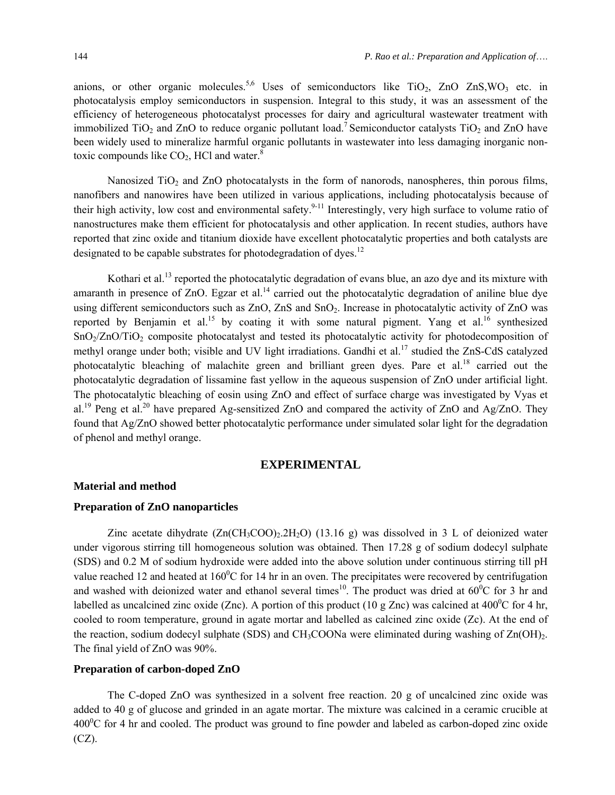anions, or other organic molecules.<sup>5,6</sup> Uses of semiconductors like  $TiO<sub>2</sub>$ , ZnO ZnS, WO<sub>3</sub> etc. in photocatalysis employ semiconductors in suspension. Integral to this study, it was an assessment of the efficiency of heterogeneous photocatalyst processes for dairy and agricultural wastewater treatment with immobilized TiO<sub>2</sub> and ZnO to reduce organic pollutant load.<sup>7</sup> Semiconductor catalysts TiO<sub>2</sub> and ZnO have been widely used to mineralize harmful organic pollutants in wastewater into less damaging inorganic nontoxic compounds like  $CO<sub>2</sub>$ , HCl and water.<sup>8</sup>

Nanosized TiO<sub>2</sub> and ZnO photocatalysts in the form of nanorods, nanospheres, thin porous films, nanofibers and nanowires have been utilized in various applications, including photocatalysis because of their high activity, low cost and environmental safety.<sup>9-11</sup> Interestingly, very high surface to volume ratio of nanostructures make them efficient for photocatalysis and other application. In recent studies, authors have reported that zinc oxide and titanium dioxide have excellent photocatalytic properties and both catalysts are designated to be capable substrates for photodegradation of dyes.<sup>12</sup>

Kothari et al.<sup>13</sup> reported the photocatalytic degradation of evans blue, an azo dye and its mixture with amaranth in presence of  $ZnO$ . Egzar et al.<sup>14</sup> carried out the photocatalytic degradation of aniline blue dye using different semiconductors such as  $ZnO$ ,  $ZnS$  and  $SnO<sub>2</sub>$ . Increase in photocatalytic activity of  $ZnO$  was reported by Benjamin et al.<sup>15</sup> by coating it with some natural pigment. Yang et al.<sup>16</sup> synthesized SnO<sub>2</sub>/ZnO/TiO<sub>2</sub> composite photocatalyst and tested its photocatalytic activity for photodecomposition of methyl orange under both; visible and UV light irradiations. Gandhi et al.<sup>17</sup> studied the ZnS-CdS catalyzed photocatalytic bleaching of malachite green and brilliant green dyes. Pare et al.<sup>18</sup> carried out the photocatalytic degradation of lissamine fast yellow in the aqueous suspension of ZnO under artificial light. The photocatalytic bleaching of eosin using ZnO and effect of surface charge was investigated by Vyas et al.<sup>19</sup> Peng et al.<sup>20</sup> have prepared Ag-sensitized ZnO and compared the activity of ZnO and Ag/ZnO. They found that Ag/ZnO showed better photocatalytic performance under simulated solar light for the degradation of phenol and methyl orange.

## **EXPERIMENTAL**

### **Material and method**

#### **Preparation of ZnO nanoparticles**

Zinc acetate dihydrate  $(Zn(CH_3COO)_2.2H_2O)$  (13.16 g) was dissolved in 3 L of deionized water under vigorous stirring till homogeneous solution was obtained. Then 17.28 g of sodium dodecyl sulphate (SDS) and 0.2 M of sodium hydroxide were added into the above solution under continuous stirring till pH value reached 12 and heated at  $160^{\circ}$ C for 14 hr in an oven. The precipitates were recovered by centrifugation and washed with deionized water and ethanol several times<sup>10</sup>. The product was dried at  $60^{\circ}$ C for 3 hr and labelled as uncalcined zinc oxide (Znc). A portion of this product (10 g Znc) was calcined at 400<sup>0</sup>C for 4 hr, cooled to room temperature, ground in agate mortar and labelled as calcined zinc oxide (Zc). At the end of the reaction, sodium dodecyl sulphate (SDS) and  $CH_3COONa$  were eliminated during washing of  $Zn(OH)_2$ . The final yield of ZnO was 90%.

## **Preparation of carbon-doped ZnO**

The C-doped ZnO was synthesized in a solvent free reaction. 20 g of uncalcined zinc oxide was added to 40 g of glucose and grinded in an agate mortar. The mixture was calcined in a ceramic crucible at  $400^{\circ}$ C for 4 hr and cooled. The product was ground to fine powder and labeled as carbon-doped zinc oxide (CZ).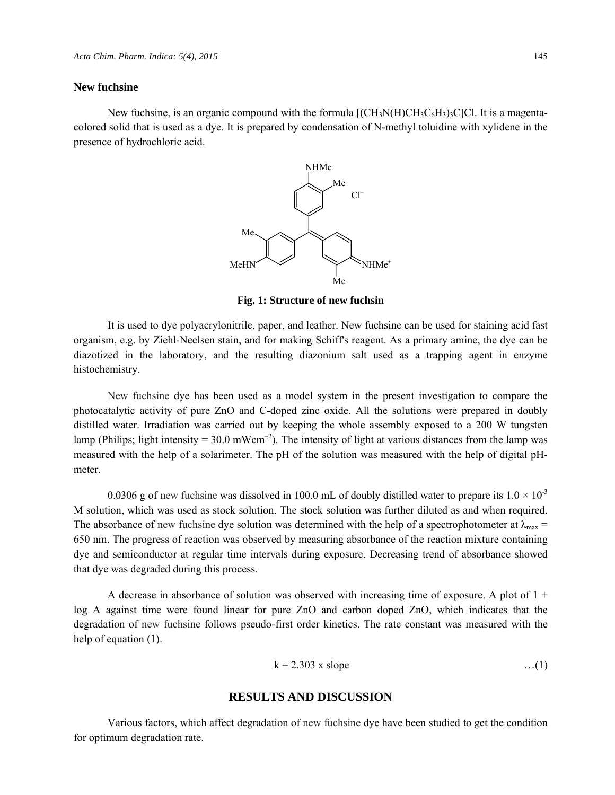#### **New fuchsine**

New fuchsine, is an organic compound with the formula  $[(CH_3N(H)CH_3C_6H_3)_3C]$ Cl. It is a magentacolored solid that is used as a dye. It is prepared by condensation of N-methyl toluidine with xylidene in the presence of hydrochloric acid.



**Fig. 1: Structure of new fuchsin** 

It is used to dye polyacrylonitrile, paper, and leather. New fuchsine can be used for staining acid fast organism, e.g. by Ziehl-Neelsen stain, and for making Schiff's reagent. As a primary amine, the dye can be diazotized in the laboratory, and the resulting diazonium salt used as a trapping agent in enzyme histochemistry.

New fuchsine dye has been used as a model system in the present investigation to compare the photocatalytic activity of pure ZnO and C-doped zinc oxide. All the solutions were prepared in doubly distilled water. Irradiation was carried out by keeping the whole assembly exposed to a 200 W tungsten lamp (Philips; light intensity = 30.0 mWcm<sup>-2</sup>). The intensity of light at various distances from the lamp was measured with the help of a solarimeter. The pH of the solution was measured with the help of digital pHmeter.

0.0306 g of new fuchsine was dissolved in 100.0 mL of doubly distilled water to prepare its  $1.0 \times 10^{-3}$ M solution, which was used as stock solution. The stock solution was further diluted as and when required. The absorbance of new fuchsine dye solution was determined with the help of a spectrophotometer at  $\lambda_{\text{max}} =$ 650 nm. The progress of reaction was observed by measuring absorbance of the reaction mixture containing dye and semiconductor at regular time intervals during exposure. Decreasing trend of absorbance showed that dye was degraded during this process.

A decrease in absorbance of solution was observed with increasing time of exposure. A plot of  $1 +$ log A against time were found linear for pure ZnO and carbon doped ZnO, which indicates that the degradation of new fuchsine follows pseudo-first order kinetics. The rate constant was measured with the help of equation (1).

$$
k = 2.303
$$
 x slope ... (1)

### **RESULTS AND DISCUSSION**

Various factors, which affect degradation of new fuchsine dye have been studied to get the condition for optimum degradation rate.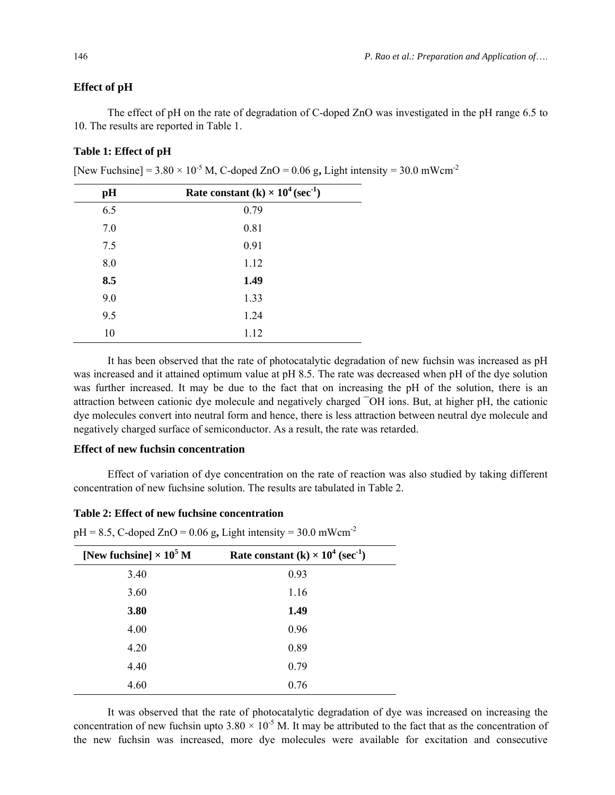#### **Effect of pH**

The effect of pH on the rate of degradation of C-doped ZnO was investigated in the pH range 6.5 to 10. The results are reported in Table 1.

## **Table 1: Effect of pH**

[New Fuchsine] =  $3.80 \times 10^{-5}$  M, C-doped ZnO =  $0.06$  g, Light intensity =  $30.0$  mWcm<sup>-2</sup>

| pH  | Rate constant (k) $\times$ 10 <sup>4</sup> (sec <sup>-1</sup> ) |  |
|-----|-----------------------------------------------------------------|--|
| 6.5 | 0.79                                                            |  |
| 7.0 | 0.81                                                            |  |
| 7.5 | 0.91                                                            |  |
| 8.0 | 1.12                                                            |  |
| 8.5 | 1.49                                                            |  |
| 9.0 | 1.33                                                            |  |
| 9.5 | 1.24                                                            |  |
| 10  | 1.12                                                            |  |

It has been observed that the rate of photocatalytic degradation of new fuchsin was increased as pH was increased and it attained optimum value at pH 8.5. The rate was decreased when pH of the dye solution was further increased. It may be due to the fact that on increasing the pH of the solution, there is an attraction between cationic dye molecule and negatively charged ¯OH ions. But, at higher pH, the cationic dye molecules convert into neutral form and hence, there is less attraction between neutral dye molecule and negatively charged surface of semiconductor. As a result, the rate was retarded.

## **Effect of new fuchsin concentration**

Effect of variation of dye concentration on the rate of reaction was also studied by taking different concentration of new fuchsine solution. The results are tabulated in Table 2.

### **Table 2: Effect of new fuchsine concentration**

 $pH = 8.5$ , C-doped ZnO = 0.06 g, Light intensity = 30.0 mWcm<sup>-2</sup>

| [New fuchsine] $\times 10^5$ M | Rate constant (k) $\times$ 10 <sup>4</sup> (sec <sup>-1</sup> ) |
|--------------------------------|-----------------------------------------------------------------|
| 3.40                           | 0.93                                                            |
| 3.60                           | 1.16                                                            |
| 3.80                           | 1.49                                                            |
| 4.00                           | 0.96                                                            |
| 4.20                           | 0.89                                                            |
| 4.40                           | 0.79                                                            |
| 4.60                           | 0.76                                                            |

It was observed that the rate of photocatalytic degradation of dye was increased on increasing the concentration of new fuchsin upto  $3.80 \times 10^{-5}$  M. It may be attributed to the fact that as the concentration of the new fuchsin was increased, more dye molecules were available for excitation and consecutive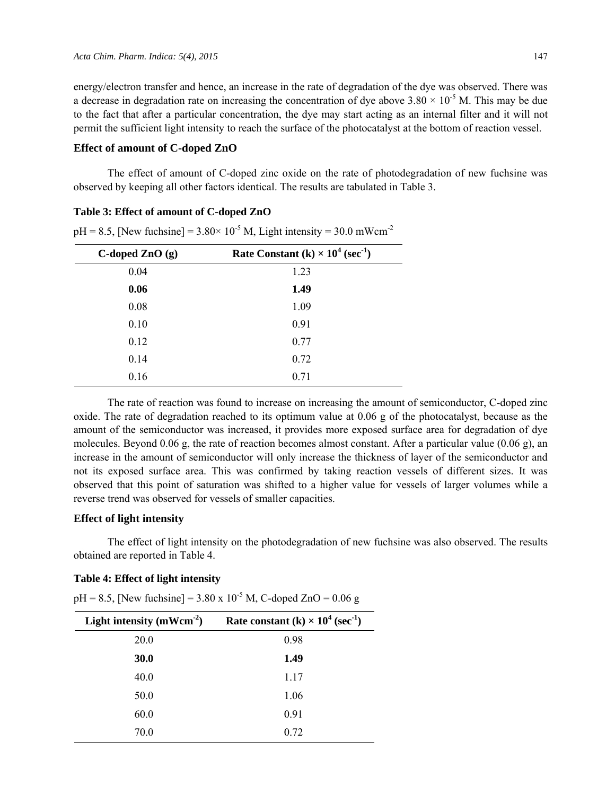energy/electron transfer and hence, an increase in the rate of degradation of the dye was observed. There was a decrease in degradation rate on increasing the concentration of dye above  $3.80 \times 10^{-5}$  M. This may be due to the fact that after a particular concentration, the dye may start acting as an internal filter and it will not permit the sufficient light intensity to reach the surface of the photocatalyst at the bottom of reaction vessel.

### **Effect of amount of C-doped ZnO**

The effect of amount of C-doped zinc oxide on the rate of photodegradation of new fuchsine was observed by keeping all other factors identical. The results are tabulated in Table 3.

#### **Table 3: Effect of amount of C-doped ZnO**

**C-doped ZnO (g)** Rate Constant  $(k) \times 10^4$  (sec<sup>-1</sup>) 0.04 1.23 **0.06 1.49**  0.08 1.09 0.10 0.91 0.12 0.77 0.14 0.72 0.16 0.71

 $pH = 8.5$ , [New fuchsine] =  $3.80 \times 10^{-5}$  M, Light intensity =  $30.0$  mWcm<sup>-2</sup>

The rate of reaction was found to increase on increasing the amount of semiconductor, C-doped zinc oxide. The rate of degradation reached to its optimum value at 0.06 g of the photocatalyst, because as the amount of the semiconductor was increased, it provides more exposed surface area for degradation of dye molecules. Beyond 0.06 g, the rate of reaction becomes almost constant. After a particular value (0.06 g), an increase in the amount of semiconductor will only increase the thickness of layer of the semiconductor and not its exposed surface area. This was confirmed by taking reaction vessels of different sizes. It was observed that this point of saturation was shifted to a higher value for vessels of larger volumes while a reverse trend was observed for vessels of smaller capacities.

## **Effect of light intensity**

The effect of light intensity on the photodegradation of new fuchsine was also observed. The results obtained are reported in Table 4.

## **Table 4: Effect of light intensity**

 $pH = 8.5$ , [New fuchsine] = 3.80 x 10<sup>-5</sup> M, C-doped ZnO = 0.06 g

| Light intensity $(mWcm-2)$ | Rate constant (k) $\times$ 10 <sup>4</sup> (sec <sup>-1</sup> ) |  |  |
|----------------------------|-----------------------------------------------------------------|--|--|
| 20.0                       | 0.98                                                            |  |  |
| 30.0                       | 1.49                                                            |  |  |
| 40.0                       | 1.17                                                            |  |  |
| 50.0                       | 1.06                                                            |  |  |
| 60.0                       | 0.91                                                            |  |  |
| 70.0                       | 0.72                                                            |  |  |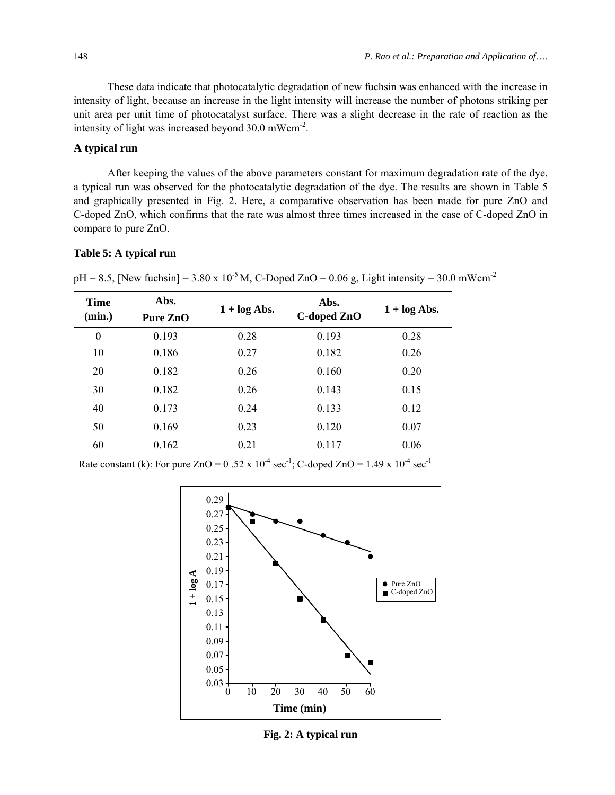These data indicate that photocatalytic degradation of new fuchsin was enhanced with the increase in intensity of light, because an increase in the light intensity will increase the number of photons striking per unit area per unit time of photocatalyst surface. There was a slight decrease in the rate of reaction as the intensity of light was increased beyond 30.0 mWcm-2.

## **A typical run**

After keeping the values of the above parameters constant for maximum degradation rate of the dye, a typical run was observed for the photocatalytic degradation of the dye. The results are shown in Table 5 and graphically presented in Fig. 2. Here, a comparative observation has been made for pure ZnO and C-doped ZnO, which confirms that the rate was almost three times increased in the case of C-doped ZnO in compare to pure ZnO.

### **Table 5: A typical run**

 $pH = 8.5$ , [New fuchsin] = 3.80 x 10<sup>-5</sup> M, C-Doped ZnO = 0.06 g, Light intensity = 30.0 mWcm<sup>-2</sup>

| <b>Time</b><br>(min.) | Abs.<br>Pure ZnO | $1 + \log$ Abs. | Abs.<br>C-doped ZnO | $1 + \log$ Abs. |
|-----------------------|------------------|-----------------|---------------------|-----------------|
| $\boldsymbol{0}$      | 0.193            | 0.28            | 0.193               | 0.28            |
| 10                    | 0.186            | 0.27            | 0.182               | 0.26            |
| 20                    | 0.182            | 0.26            | 0.160               | 0.20            |
| 30                    | 0.182            | 0.26            | 0.143               | 0.15            |
| 40                    | 0.173            | 0.24            | 0.133               | 0.12            |
| 50                    | 0.169            | 0.23            | 0.120               | 0.07            |
| 60                    | 0.162            | 0.21            | 0.117               | 0.06            |

Rate constant (k): For pure  $ZnO = 0.52 \times 10^{-4}$  sec<sup>-1</sup>; C-doped  $ZnO = 1.49 \times 10^{-4}$  sec<sup>-1</sup>



**Fig. 2: A typical run**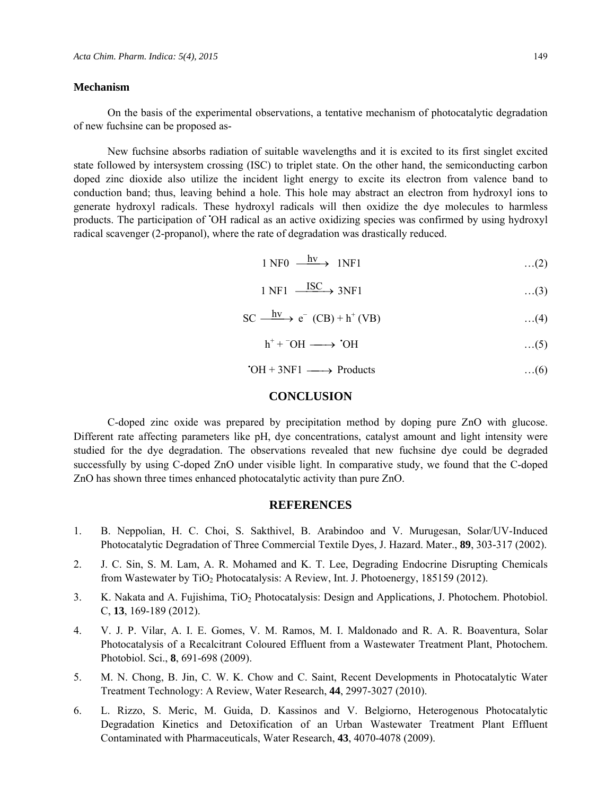#### **Mechanism**

On the basis of the experimental observations, a tentative mechanism of photocatalytic degradation of new fuchsine can be proposed as-

New fuchsine absorbs radiation of suitable wavelengths and it is excited to its first singlet excited state followed by intersystem crossing (ISC) to triplet state. On the other hand, the semiconducting carbon doped zinc dioxide also utilize the incident light energy to excite its electron from valence band to conduction band; thus, leaving behind a hole. This hole may abstract an electron from hydroxyl ions to generate hydroxyl radicals. These hydroxyl radicals will then oxidize the dye molecules to harmless products. The participation of • OH radical as an active oxidizing species was confirmed by using hydroxyl radical scavenger (2-propanol), where the rate of degradation was drastically reduced.

 $1 \text{ NF0} \longrightarrow 1 \text{ NF1}$  …(2)

$$
1 \text{ NF1} \xrightarrow{\text{ISC}} 3\text{NF1} \qquad \qquad \dots (3)
$$

$$
SC \xrightarrow{hv} e^{-} (CB) + h^{+} (VB) \qquad \qquad \dots (4)
$$

$$
h^+ + ^\frown \text{OH} \longrightarrow ^\bullet \text{OH} \qquad \qquad \dots (5)
$$

 $\cdot$ OH + 3NF1  $\longrightarrow$  Products …(6)

## **CONCLUSION**

C-doped zinc oxide was prepared by precipitation method by doping pure ZnO with glucose. Different rate affecting parameters like pH, dye concentrations, catalyst amount and light intensity were studied for the dye degradation. The observations revealed that new fuchsine dye could be degraded successfully by using C-doped ZnO under visible light. In comparative study, we found that the C-doped ZnO has shown three times enhanced photocatalytic activity than pure ZnO.

## **REFERENCES**

- 1. B. Neppolian, H. C. Choi, S. Sakthivel, B. Arabindoo and V. Murugesan, Solar/UV-Induced Photocatalytic Degradation of Three Commercial Textile Dyes, J. Hazard. Mater., **89**, 303-317 (2002).
- 2. J. C. Sin, S. M. Lam, A. R. Mohamed and K. T. Lee, Degrading Endocrine Disrupting Chemicals from Wastewater by TiO2 Photocatalysis: A Review, Int. J. Photoenergy, 185159 (2012).
- 3. K. Nakata and A. Fujishima, TiO<sub>2</sub> Photocatalysis: Design and Applications, J. Photochem. Photobiol. C, **13**, 169-189 (2012).
- 4. V. J. P. Vilar, A. I. E. Gomes, V. M. Ramos, M. I. Maldonado and R. A. R. Boaventura, Solar Photocatalysis of a Recalcitrant Coloured Effluent from a Wastewater Treatment Plant, Photochem. Photobiol. Sci., **8**, 691-698 (2009).
- 5. M. N. Chong, B. Jin, C. W. K. Chow and C. Saint, Recent Developments in Photocatalytic Water Treatment Technology: A Review, Water Research, **44**, 2997-3027 (2010).
- 6. L. Rizzo, S. Meric, M. Guida, D. Kassinos and V. Belgiorno, Heterogenous Photocatalytic Degradation Kinetics and Detoxification of an Urban Wastewater Treatment Plant Effluent Contaminated with Pharmaceuticals, Water Research, **43**, 4070-4078 (2009).